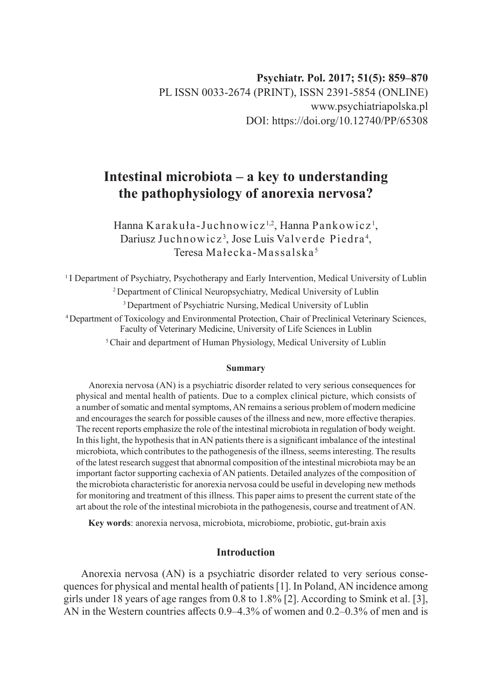# **Intestinal microbiota – a key to understanding the pathophysiology of anorexia nervosa?**

Hanna Karakuła-Juchnowicz½, Hanna Pankowicz½, Dariusz Juchnowicz<sup>3</sup>, Jose Luis Valverde Piedra<sup>4</sup>, Teresa Małecka-Massalska <sup>5</sup>

<sup>1</sup>I Department of Psychiatry, Psychotherapy and Early Intervention, Medical University of Lublin <sup>2</sup>Department of Clinical Neuropsychiatry, Medical University of Lublin <sup>3</sup> Department of Psychiatric Nursing, Medical University of Lublin <sup>4</sup>Department of Toxicology and Environmental Protection, Chair of Preclinical Veterinary Sciences, Faculty of Veterinary Medicine, University of Life Sciences in Lublin <sup>5</sup> Chair and department of Human Physiology, Medical University of Lublin

#### **Summary**

Anorexia nervosa (AN) is a psychiatric disorder related to very serious consequences for physical and mental health of patients. Due to a complex clinical picture, which consists of a number of somatic and mental symptoms, AN remains a serious problem of modern medicine and encourages the search for possible causes of the illness and new, more effective therapies. The recent reports emphasize the role of the intestinal microbiota in regulation of body weight. In this light, the hypothesis that in AN patients there is a significant imbalance of the intestinal microbiota, which contributes to the pathogenesis of the illness, seems interesting. The results of the latest research suggest that abnormal composition of the intestinal microbiota may be an important factor supporting cachexia of AN patients. Detailed analyzes of the composition of the microbiota characteristic for anorexia nervosa could be useful in developing new methods for monitoring and treatment of this illness. This paper aims to present the current state of the art about the role of the intestinal microbiota in the pathogenesis, course and treatment of AN.

**Key words**: anorexia nervosa, microbiota, microbiome, probiotic, gut-brain axis

## **Introduction**

Anorexia nervosa (AN) is a psychiatric disorder related to very serious consequences for physical and mental health of patients [1]. In Poland, AN incidence among girls under 18 years of age ranges from 0.8 to 1.8% [2]. According to Smink et al. [3], AN in the Western countries affects 0.9–4.3% of women and 0.2–0.3% of men and is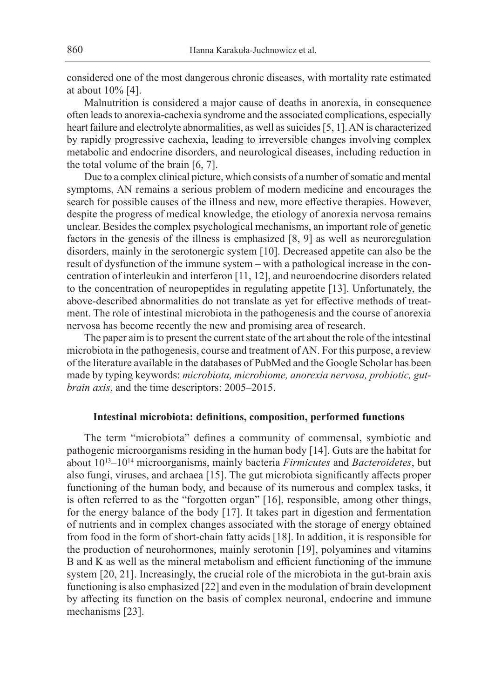considered one of the most dangerous chronic diseases, with mortality rate estimated at about 10% [4].

Malnutrition is considered a major cause of deaths in anorexia, in consequence often leads to anorexia-cachexia syndrome and the associated complications, especially heart failure and electrolyte abnormalities, as well as suicides [5, 1]. AN is characterized by rapidly progressive cachexia, leading to irreversible changes involving complex metabolic and endocrine disorders, and neurological diseases, including reduction in the total volume of the brain [6, 7].

Due to a complex clinical picture, which consists of a number of somatic and mental symptoms, AN remains a serious problem of modern medicine and encourages the search for possible causes of the illness and new, more effective therapies. However, despite the progress of medical knowledge, the etiology of anorexia nervosa remains unclear. Besides the complex psychological mechanisms, an important role of genetic factors in the genesis of the illness is emphasized [8, 9] as well as neuroregulation disorders, mainly in the serotonergic system [10]. Decreased appetite can also be the result of dysfunction of the immune system – with a pathological increase in the concentration of interleukin and interferon [11, 12], and neuroendocrine disorders related to the concentration of neuropeptides in regulating appetite [13]. Unfortunately, the above-described abnormalities do not translate as yet for effective methods of treatment. The role of intestinal microbiota in the pathogenesis and the course of anorexia nervosa has become recently the new and promising area of research.

The paper aim is to present the current state of the art about the role of the intestinal microbiota in the pathogenesis, course and treatment of AN. For this purpose, a review of the literature available in the databases of PubMed and the Google Scholar has been made by typing keywords: *microbiota, microbiome, anorexia nervosa, probiotic, gutbrain axis*, and the time descriptors: 2005–2015.

#### **Intestinal microbiota: definitions, composition, performed functions**

The term "microbiota" defines a community of commensal, symbiotic and pathogenic microorganisms residing in the human body [14]. Guts are the habitat for about 10<sup>13</sup>–10<sup>14</sup> microorganisms, mainly bacteria *Firmicutes* and *Bacteroidetes*, but also fungi, viruses, and archaea [15]. The gut microbiota significantly affects proper functioning of the human body, and because of its numerous and complex tasks, it is often referred to as the "forgotten organ" [16], responsible, among other things, for the energy balance of the body [17]. It takes part in digestion and fermentation of nutrients and in complex changes associated with the storage of energy obtained from food in the form of short-chain fatty acids [18]. In addition, it is responsible for the production of neurohormones, mainly serotonin [19], polyamines and vitamins B and K as well as the mineral metabolism and efficient functioning of the immune system [20, 21]. Increasingly, the crucial role of the microbiota in the gut-brain axis functioning is also emphasized [22] and even in the modulation of brain development by affecting its function on the basis of complex neuronal, endocrine and immune mechanisms [23].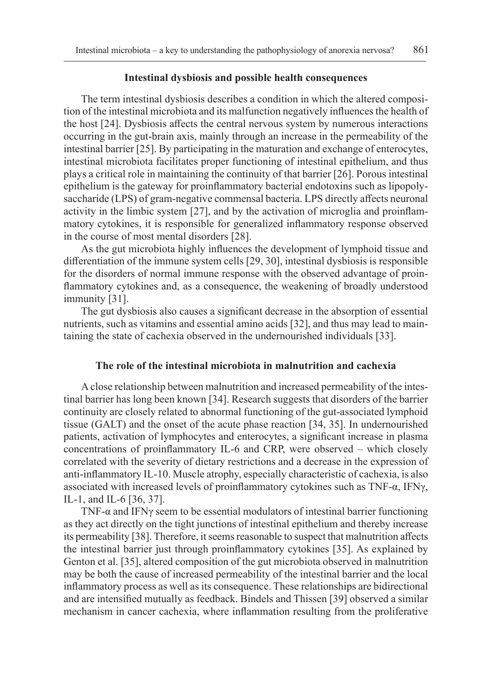#### **Intestinal dysbiosis and possible health consequences**

The term intestinal dysbiosis describes a condition in which the altered composition of the intestinal microbiota and its malfunction negatively influences the health of the host [24]. Dysbiosis affects the central nervous system by numerous interactions occurring in the gut-brain axis, mainly through an increase in the permeability of the intestinal barrier [25]. By participating in the maturation and exchange of enterocytes, intestinal microbiota facilitates proper functioning of intestinal epithelium, and thus plays a critical role in maintaining the continuity of that barrier [26]. Porous intestinal epithelium is the gateway for proinflammatory bacterial endotoxins such as lipopolysaccharide (LPS) of gram-negative commensal bacteria. LPS directly affects neuronal activity in the limbic system [27], and by the activation of microglia and proinflammatory cytokines, it is responsible for generalized inflammatory response observed in the course of most mental disorders [28].

As the gut microbiota highly influences the development of lymphoid tissue and differentiation of the immune system cells [29, 30], intestinal dysbiosis is responsible for the disorders of normal immune response with the observed advantage of proinflammatory cytokines and, as a consequence, the weakening of broadly understood immunity [31].

The gut dysbiosis also causes a significant decrease in the absorption of essential nutrients, such as vitamins and essential amino acids [32], and thus may lead to maintaining the state of cachexia observed in the undernourished individuals [33].

#### **The role of the intestinal microbiota in malnutrition and cachexia**

A close relationship between malnutrition and increased permeability of the intestinal barrier has long been known [34]. Research suggests that disorders of the barrier continuity are closely related to abnormal functioning of the gut-associated lymphoid tissue (GALT) and the onset of the acute phase reaction [34, 35]. In undernourished patients, activation of lymphocytes and enterocytes, a significant increase in plasma concentrations of proinflammatory IL-6 and CRP, were observed – which closely correlated with the severity of dietary restrictions and a decrease in the expression of anti-inflammatory IL-10. Muscle atrophy, especially characteristic of cachexia, is also associated with increased levels of proinflammatory cytokines such as TNF-α, IFNγ, IL-1, and IL-6 [36, 37].

TNF- $\alpha$  and IFN $\gamma$  seem to be essential modulators of intestinal barrier functioning as they act directly on the tight junctions of intestinal epithelium and thereby increase its permeability [38]. Therefore, it seems reasonable to suspect that malnutrition affects the intestinal barrier just through proinflammatory cytokines [35]. As explained by Genton et al. [35], altered composition of the gut microbiota observed in malnutrition may be both the cause of increased permeability of the intestinal barrier and the local inflammatory process as well as its consequence. These relationships are bidirectional and are intensified mutually as feedback. Bindels and Thissen [39] observed a similar mechanism in cancer cachexia, where inflammation resulting from the proliferative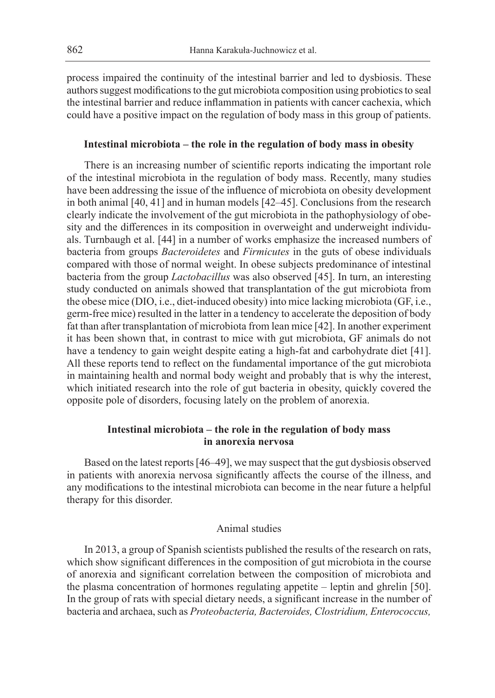process impaired the continuity of the intestinal barrier and led to dysbiosis. These authors suggest modifications to the gut microbiota composition using probiotics to seal the intestinal barrier and reduce inflammation in patients with cancer cachexia, which could have a positive impact on the regulation of body mass in this group of patients.

#### **Intestinal microbiota – the role in the regulation of body mass in obesity**

There is an increasing number of scientific reports indicating the important role of the intestinal microbiota in the regulation of body mass. Recently, many studies have been addressing the issue of the influence of microbiota on obesity development in both animal [40, 41] and in human models [42–45]. Conclusions from the research clearly indicate the involvement of the gut microbiota in the pathophysiology of obesity and the differences in its composition in overweight and underweight individuals. Turnbaugh et al. [44] in a number of works emphasize the increased numbers of bacteria from groups *Bacteroidetes* and *Firmicutes* in the guts of obese individuals compared with those of normal weight. In obese subjects predominance of intestinal bacteria from the group *Lactobacillus* was also observed [45]. In turn, an interesting study conducted on animals showed that transplantation of the gut microbiota from the obese mice (DIO, i.e., diet-induced obesity) into mice lacking microbiota (GF, i.e., germ-free mice) resulted in the latter in a tendency to accelerate the deposition of body fat than after transplantation of microbiota from lean mice [42]. In another experiment it has been shown that, in contrast to mice with gut microbiota, GF animals do not have a tendency to gain weight despite eating a high-fat and carbohydrate diet [41]. All these reports tend to reflect on the fundamental importance of the gut microbiota in maintaining health and normal body weight and probably that is why the interest, which initiated research into the role of gut bacteria in obesity, quickly covered the opposite pole of disorders, focusing lately on the problem of anorexia.

## **Intestinal microbiota – the role in the regulation of body mass in anorexia nervosa**

Based on the latest reports [46–49], we may suspect that the gut dysbiosis observed in patients with anorexia nervosa significantly affects the course of the illness, and any modifications to the intestinal microbiota can become in the near future a helpful therapy for this disorder.

## Animal studies

In 2013, a group of Spanish scientists published the results of the research on rats, which show significant differences in the composition of gut microbiota in the course of anorexia and significant correlation between the composition of microbiota and the plasma concentration of hormones regulating appetite – leptin and ghrelin [50]. In the group of rats with special dietary needs, a significant increase in the number of bacteria and archaea, such as *Proteobacteria, Bacteroides, Clostridium, Enterococcus,*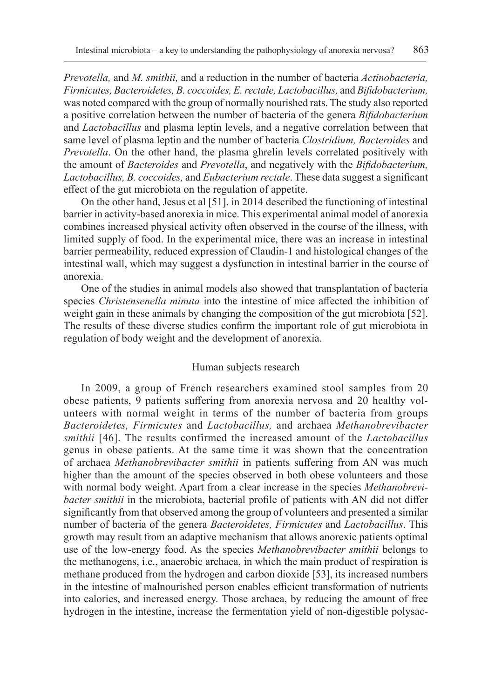*Prevotella,* and *M. smithii,* and a reduction in the number of bacteria *Actinobacteria, Firmicutes, Bacteroidetes, B. coccoides, E. rectale, Lactobacillus,* and *Bifidobacterium,*  was noted compared with the group of normally nourished rats. The study also reported a positive correlation between the number of bacteria of the genera *Bifidobacterium*  and *Lactobacillus* and plasma leptin levels, and a negative correlation between that same level of plasma leptin and the number of bacteria *Clostridium, Bacteroides* and *Prevotella*. On the other hand, the plasma ghrelin levels correlated positively with the amount of *Bacteroides* and *Prevotella*, and negatively with the *Bifidobacterium, Lactobacillus, B. coccoides,* and *Eubacterium rectale*. These data suggest a significant effect of the gut microbiota on the regulation of appetite.

On the other hand, Jesus et al [51]. in 2014 described the functioning of intestinal barrier in activity-based anorexia in mice. This experimental animal model of anorexia combines increased physical activity often observed in the course of the illness, with limited supply of food. In the experimental mice, there was an increase in intestinal barrier permeability, reduced expression of Claudin-1 and histological changes of the intestinal wall, which may suggest a dysfunction in intestinal barrier in the course of anorexia.

One of the studies in animal models also showed that transplantation of bacteria species *Christensenella minuta* into the intestine of mice affected the inhibition of weight gain in these animals by changing the composition of the gut microbiota [52]. The results of these diverse studies confirm the important role of gut microbiota in regulation of body weight and the development of anorexia.

### Human subjects research

In 2009, a group of French researchers examined stool samples from 20 obese patients, 9 patients suffering from anorexia nervosa and 20 healthy volunteers with normal weight in terms of the number of bacteria from groups *Bacteroidetes, Firmicutes* and *Lactobacillus,* and archaea *Methanobrevibacter smithii* [46]. The results confirmed the increased amount of the *Lactobacillus*  genus in obese patients. At the same time it was shown that the concentration of archaea *Methanobrevibacter smithii* in patients suffering from AN was much higher than the amount of the species observed in both obese volunteers and those with normal body weight. Apart from a clear increase in the species *Methanobrevibacter smithii* in the microbiota, bacterial profile of patients with AN did not differ significantly from that observed among the group of volunteers and presented a similar number of bacteria of the genera *Bacteroidetes, Firmicutes* and *Lactobacillus*. This growth may result from an adaptive mechanism that allows anorexic patients optimal use of the low-energy food. As the species *Methanobrevibacter smithii* belongs to the methanogens, i.e., anaerobic archaea, in which the main product of respiration is methane produced from the hydrogen and carbon dioxide [53], its increased numbers in the intestine of malnourished person enables efficient transformation of nutrients into calories, and increased energy. Those archaea, by reducing the amount of free hydrogen in the intestine, increase the fermentation yield of non-digestible polysac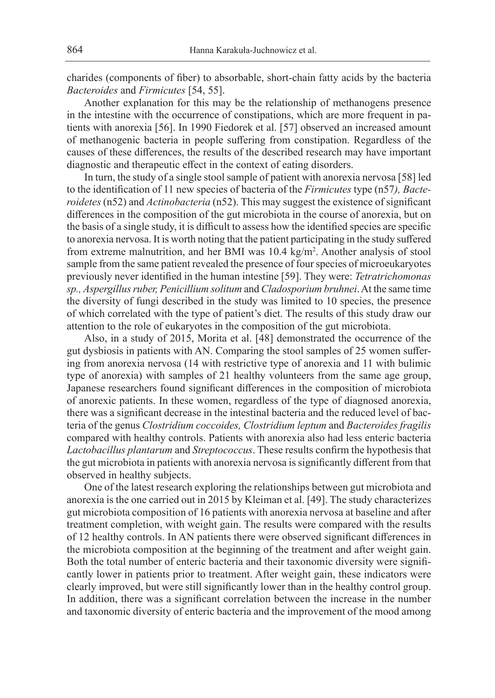charides (components of fiber) to absorbable, short-chain fatty acids by the bacteria *Bacteroides* and *Firmicutes* [54, 55].

Another explanation for this may be the relationship of methanogens presence in the intestine with the occurrence of constipations, which are more frequent in patients with anorexia [56]. In 1990 Fiedorek et al. [57] observed an increased amount of methanogenic bacteria in people suffering from constipation. Regardless of the causes of these differences, the results of the described research may have important diagnostic and therapeutic effect in the context of eating disorders.

In turn, the study of a single stool sample of patient with anorexia nervosa [58] led to the identification of 11 new species of bacteria of the *Firmicutes* type (n57*), Bacteroidetes* (n52) and *Actinobacteria* (n52). This may suggest the existence of significant differences in the composition of the gut microbiota in the course of anorexia, but on the basis of a single study, it is difficult to assess how the identified species are specific to anorexia nervosa. It is worth noting that the patient participating in the study suffered from extreme malnutrition, and her BMI was 10.4 kg/m<sup>2</sup>. Another analysis of stool sample from the same patient revealed the presence of four species of microeukaryotes previously never identified in the human intestine [59]. They were: *Tetratrichomonas sp., Aspergillus ruber, Penicillium solitum* and *Cladosporium bruhnei*. At the same time the diversity of fungi described in the study was limited to 10 species, the presence of which correlated with the type of patient's diet. The results of this study draw our attention to the role of eukaryotes in the composition of the gut microbiota.

Also, in a study of 2015, Morita et al. [48] demonstrated the occurrence of the gut dysbiosis in patients with AN. Comparing the stool samples of 25 women suffering from anorexia nervosa (14 with restrictive type of anorexia and 11 with bulimic type of anorexia) with samples of 21 healthy volunteers from the same age group, Japanese researchers found significant differences in the composition of microbiota of anorexic patients. In these women, regardless of the type of diagnosed anorexia, there was a significant decrease in the intestinal bacteria and the reduced level of bacteria of the genus *Clostridium coccoides, Clostridium leptum* and *Bacteroides fragilis*  compared with healthy controls. Patients with anorexia also had less enteric bacteria *Lactobacillus plantarum* and *Streptococcus*. These results confirm the hypothesis that the gut microbiota in patients with anorexia nervosa is significantly different from that observed in healthy subjects.

One of the latest research exploring the relationships between gut microbiota and anorexia is the one carried out in 2015 by Kleiman et al. [49]. The study characterizes gut microbiota composition of 16 patients with anorexia nervosa at baseline and after treatment completion, with weight gain. The results were compared with the results of 12 healthy controls. In AN patients there were observed significant differences in the microbiota composition at the beginning of the treatment and after weight gain. Both the total number of enteric bacteria and their taxonomic diversity were significantly lower in patients prior to treatment. After weight gain, these indicators were clearly improved, but were still significantly lower than in the healthy control group. In addition, there was a significant correlation between the increase in the number and taxonomic diversity of enteric bacteria and the improvement of the mood among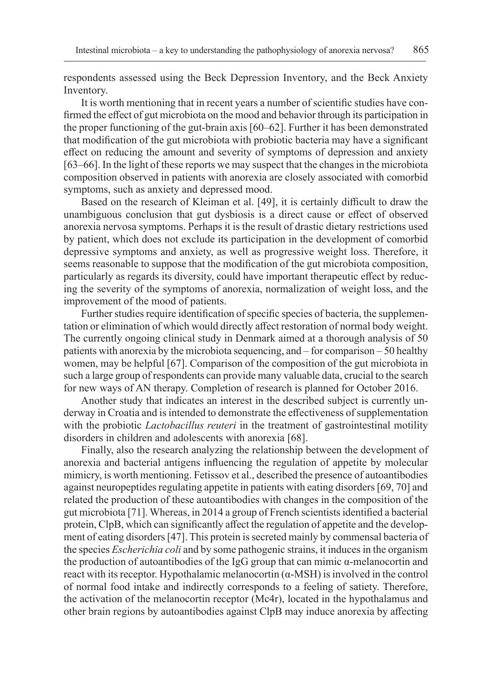respondents assessed using the Beck Depression Inventory, and the Beck Anxiety Inventory.

It is worth mentioning that in recent years a number of scientific studies have confirmed the effect of gut microbiota on the mood and behavior through its participation in the proper functioning of the gut-brain axis [60–62]. Further it has been demonstrated that modification of the gut microbiota with probiotic bacteria may have a significant effect on reducing the amount and severity of symptoms of depression and anxiety [63–66]. In the light of these reports we may suspect that the changes in the microbiota composition observed in patients with anorexia are closely associated with comorbid symptoms, such as anxiety and depressed mood.

Based on the research of Kleiman et al. [49], it is certainly difficult to draw the unambiguous conclusion that gut dysbiosis is a direct cause or effect of observed anorexia nervosa symptoms. Perhaps it is the result of drastic dietary restrictions used by patient, which does not exclude its participation in the development of comorbid depressive symptoms and anxiety, as well as progressive weight loss. Therefore, it seems reasonable to suppose that the modification of the gut microbiota composition, particularly as regards its diversity, could have important therapeutic effect by reducing the severity of the symptoms of anorexia, normalization of weight loss, and the improvement of the mood of patients.

Further studies require identification of specific species of bacteria, the supplementation or elimination of which would directly affect restoration of normal body weight. The currently ongoing clinical study in Denmark aimed at a thorough analysis of 50 patients with anorexia by the microbiota sequencing, and – for comparison – 50 healthy women, may be helpful [67]. Comparison of the composition of the gut microbiota in such a large group of respondents can provide many valuable data, crucial to the search for new ways of AN therapy. Completion of research is planned for October 2016.

Another study that indicates an interest in the described subject is currently underway in Croatia and is intended to demonstrate the effectiveness of supplementation with the probiotic *Lactobacillus reuteri* in the treatment of gastrointestinal motility disorders in children and adolescents with anorexia [68].

Finally, also the research analyzing the relationship between the development of anorexia and bacterial antigens influencing the regulation of appetite by molecular mimicry, is worth mentioning. Fetissov et al., described the presence of autoantibodies against neuropeptides regulating appetite in patients with eating disorders [69, 70] and related the production of these autoantibodies with changes in the composition of the gut microbiota [71]. Whereas, in 2014 a group of French scientists identified a bacterial protein, ClpB, which can significantly affect the regulation of appetite and the development of eating disorders [47]. This protein is secreted mainly by commensal bacteria of the species *Escherichia coli* and by some pathogenic strains, it induces in the organism the production of autoantibodies of the IgG group that can mimic α-melanocortin and react with its receptor. Hypothalamic melanocortin (α-MSH) is involved in the control of normal food intake and indirectly corresponds to a feeling of satiety. Therefore, the activation of the melanocortin receptor (Mc4r), located in the hypothalamus and other brain regions by autoantibodies against ClpB may induce anorexia by affecting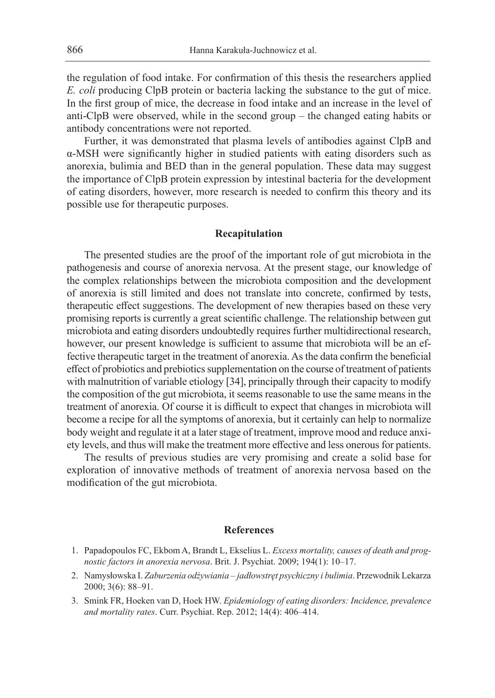the regulation of food intake. For confirmation of this thesis the researchers applied *E. coli* producing ClpB protein or bacteria lacking the substance to the gut of mice. In the first group of mice, the decrease in food intake and an increase in the level of anti-ClpB were observed, while in the second group – the changed eating habits or antibody concentrations were not reported.

Further, it was demonstrated that plasma levels of antibodies against ClpB and α-MSH were significantly higher in studied patients with eating disorders such as anorexia, bulimia and BED than in the general population. These data may suggest the importance of ClpB protein expression by intestinal bacteria for the development of eating disorders, however, more research is needed to confirm this theory and its possible use for therapeutic purposes.

#### **Recapitulation**

The presented studies are the proof of the important role of gut microbiota in the pathogenesis and course of anorexia nervosa. At the present stage, our knowledge of the complex relationships between the microbiota composition and the development of anorexia is still limited and does not translate into concrete, confirmed by tests, therapeutic effect suggestions. The development of new therapies based on these very promising reports is currently a great scientific challenge. The relationship between gut microbiota and eating disorders undoubtedly requires further multidirectional research, however, our present knowledge is sufficient to assume that microbiota will be an effective therapeutic target in the treatment of anorexia. As the data confirm the beneficial effect of probiotics and prebiotics supplementation on the course of treatment of patients with malnutrition of variable etiology [34], principally through their capacity to modify the composition of the gut microbiota, it seems reasonable to use the same means in the treatment of anorexia. Of course it is difficult to expect that changes in microbiota will become a recipe for all the symptoms of anorexia, but it certainly can help to normalize body weight and regulate it at a later stage of treatment, improve mood and reduce anxiety levels, and thus will make the treatment more effective and less onerous for patients.

The results of previous studies are very promising and create a solid base for exploration of innovative methods of treatment of anorexia nervosa based on the modification of the gut microbiota.

#### **References**

- 1. Papadopoulos FC, Ekbom A, Brandt L, Ekselius L. *Excess mortality, causes of death and prognostic factors in anorexia nervosa*. Brit. J. Psychiat. 2009; 194(1): 10–17.
- 2. Namysłowska I. *Zaburzenia odżywiania jadłowstręt psychiczny i bulimia*. Przewodnik Lekarza 2000; 3(6): 88–91.
- 3. Smink FR, Hoeken van D, Hoek HW. *Epidemiology of eating disorders: Incidence, prevalence and mortality rates*. Curr. Psychiat. Rep. 2012; 14(4): 406–414.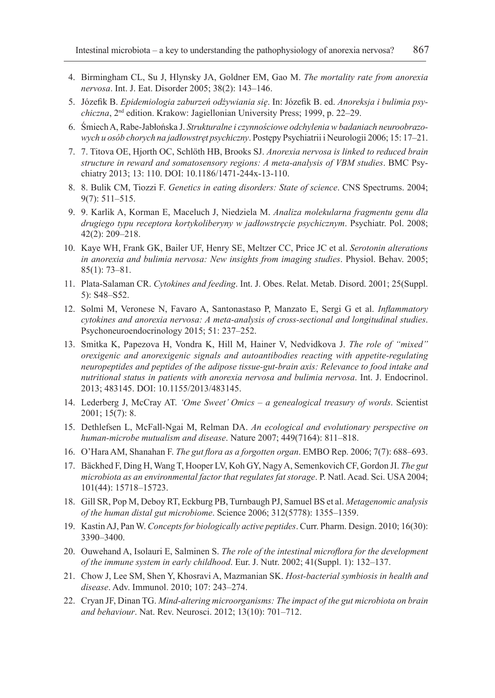- 4. Birmingham CL, Su J, Hlynsky JA, Goldner EM, Gao M. *The mortality rate from anorexia nervosa*. Int. J. Eat. Disorder 2005; 38(2): 143–146.
- 5. Józefik B. *Epidemiologia zaburzeń odżywiania się*. In: Józefik B. ed. *Anoreksja i bulimia psychiczna*, 2nd edition. Krakow: Jagiellonian University Press; 1999, p. 22–29.
- 6. Śmiech A, Rabe-Jabłońska J. *Strukturalne i czynnościowe odchylenia w badaniach neuroobrazowych u osób chorych na jadłowstręt psychiczny*. Postępy Psychiatrii i Neurologii 2006; 15: 17–21.
- 7. 7. Titova OE, Hjorth OC, Schlöth HB, Brooks SJ. *Anorexia nervosa is linked to reduced brain structure in reward and somatosensory regions: A meta-analysis of VBM studies*. BMC Psychiatry 2013; 13: 110. DOI: 10.1186/1471-244x-13-110.
- 8. 8. Bulik CM, Tiozzi F. *Genetics in eating disorders: State of science*. CNS Spectrums. 2004; 9(7): 511–515.
- 9. 9. Karlik A, Korman E, Maceluch J, Niedziela M. *Analiza molekularna fragmentu genu dla drugiego typu receptora kortykoliberyny w jadłowstręcie psychicznym*. Psychiatr. Pol. 2008; 42(2): 209–218.
- 10. Kaye WH, Frank GK, Bailer UF, Henry SE, Meltzer CC, Price JC et al. *Serotonin alterations in anorexia and bulimia nervosa: New insights from imaging studies*. Physiol. Behav. 2005; 85(1): 73–81.
- 11. Plata-Salaman CR. *Cytokines and feeding*. Int. J. Obes. Relat. Metab. Disord. 2001; 25(Suppl. 5): S48–S52.
- 12. Solmi M, Veronese N, Favaro A, Santonastaso P, Manzato E, Sergi G et al. *Inflammatory cytokines and anorexia nervosa: A meta-analysis of cross-sectional and longitudinal studies*. Psychoneuroendocrinology 2015; 51: 237–252.
- 13. Smitka K, Papezova H, Vondra K, Hill M, Hainer V, Nedvidkova J. *The role of "mixed" orexigenic and anorexigenic signals and autoantibodies reacting with appetite-regulating neuropeptides and peptides of the adipose tissue-gut-brain axis: Relevance to food intake and nutritional status in patients with anorexia nervosa and bulimia nervosa*. Int. J. Endocrinol. 2013; 483145. DOI: 10.1155/2013/483145.
- 14. Lederberg J, McCray AT. *'Ome Sweet' Omics a genealogical treasury of words*. Scientist 2001; 15(7): 8.
- 15. Dethlefsen L, McFall-Ngai M, Relman DA. *An ecological and evolutionary perspective on human-microbe mutualism and disease*. Nature 2007; 449(7164): 811–818.
- 16. O'Hara AM, Shanahan F. *The gut flora as a forgotten organ*. EMBO Rep. 2006; 7(7): 688–693.
- 17. Bäckhed F, Ding H, Wang T, Hooper LV, Koh GY, Nagy A, Semenkovich CF, Gordon JI. *The gut microbiota as an environmental factor that regulates fat storage*. P. Natl. Acad. Sci. USA 2004; 101(44): 15718–15723.
- 18. Gill SR, Pop M, Deboy RT, Eckburg PB, Turnbaugh PJ, Samuel BS et al. *Metagenomic analysis of the human distal gut microbiome*. Science 2006; 312(5778): 1355–1359.
- 19. Kastin AJ, Pan W. *Concepts for biologically active peptides*. Curr. Pharm. Design. 2010; 16(30): 3390–3400.
- 20. Ouwehand A, Isolauri E, Salminen S. *The role of the intestinal microflora for the development of the immune system in early childhood*. Eur. J. Nutr. 2002; 41(Suppl. 1): 132–137.
- 21. Chow J, Lee SM, Shen Y, Khosravi A, Mazmanian SK. *Host-bacterial symbiosis in health and disease*. Adv. Immunol. 2010; 107: 243–274.
- 22. Cryan JF, Dinan TG. *Mind-altering microorganisms: The impact of the gut microbiota on brain and behaviour*. Nat. Rev. Neurosci. 2012; 13(10): 701–712.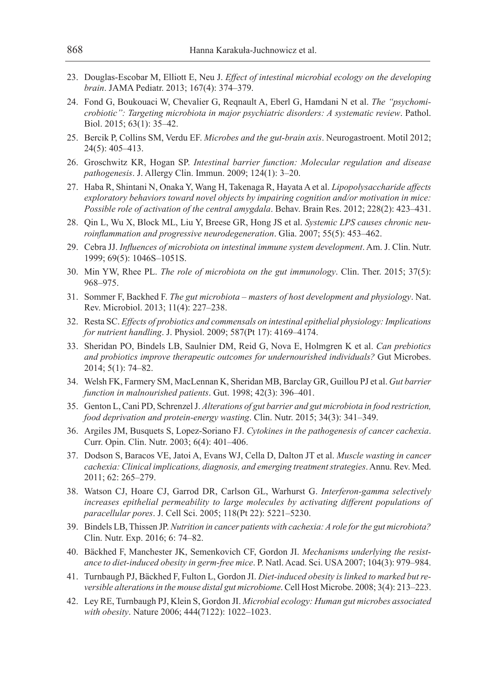- 23. Douglas-Escobar M, Elliott E, Neu J. *Effect of intestinal microbial ecology on the developing brain*. JAMA Pediatr. 2013; 167(4): 374–379.
- 24. Fond G, Boukouaci W, Chevalier G, Reqnault A, Eberl G, Hamdani N et al. *The ''psychomicrobiotic'': Targeting microbiota in major psychiatric disorders: A systematic review*. Pathol. Biol. 2015; 63(1): 35–42.
- 25. Bercik P, Collins SM, Verdu EF. *Microbes and the gut-brain axis*. Neurogastroent. Motil 2012; 24(5): 405–413.
- 26. Groschwitz KR, Hogan SP. *Intestinal barrier function: Molecular regulation and disease pathogenesis*. J. Allergy Clin. Immun. 2009; 124(1): 3–20.
- 27. Haba R, Shintani N, Onaka Y, Wang H, Takenaga R, Hayata A et al. *Lipopolysaccharide affects exploratory behaviors toward novel objects by impairing cognition and/or motivation in mice: Possible role of activation of the central amygdala*. Behav. Brain Res. 2012; 228(2): 423–431.
- 28. Qin L, Wu X, Block ML, Liu Y, Breese GR, Hong JS et al. *Systemic LPS causes chronic neuroinflammation and progressive neurodegeneration*. Glia. 2007; 55(5): 453–462.
- 29. Cebra JJ. *Influences of microbiota on intestinal immune system development*. Am. J. Clin. Nutr. 1999; 69(5): 1046S–1051S.
- 30. Min YW, Rhee PL. *The role of microbiota on the gut immunology*. Clin. Ther. 2015; 37(5): 968–975.
- 31. Sommer F, Backhed F. *The gut microbiota masters of host development and physiology*. Nat. Rev. Microbiol. 2013; 11(4): 227–238.
- 32. Resta SC. *Effects of probiotics and commensals on intestinal epithelial physiology: Implications for nutrient handling*. J. Physiol. 2009; 587(Pt 17): 4169–4174.
- 33. Sheridan PO, Bindels LB, Saulnier DM, Reid G, Nova E, Holmgren K et al. *Can prebiotics and probiotics improve therapeutic outcomes for undernourished individuals?* Gut Microbes. 2014; 5(1): 74–82.
- 34. Welsh FK, Farmery SM, MacLennan K, Sheridan MB, Barclay GR, Guillou PJ et al. *Gut barrier function in malnourished patients*. Gut. 1998; 42(3): 396–401.
- 35. Genton L, Cani PD, Schrenzel J. *Alterations of gut barrier and gut microbiota in food restriction, food deprivation and protein-energy wasting*. Clin. Nutr. 2015; 34(3): 341–349.
- 36. Argiles JM, Busquets S, Lopez-Soriano FJ. *Cytokines in the pathogenesis of cancer cachexia*. Curr. Opin. Clin. Nutr. 2003; 6(4): 401–406.
- 37. Dodson S, Baracos VE, Jatoi A, Evans WJ, Cella D, Dalton JT et al. *Muscle wasting in cancer cachexia: Clinical implications, diagnosis, and emerging treatment strategies*. Annu. Rev. Med. 2011; 62: 265–279.
- 38. Watson CJ, Hoare CJ, Garrod DR, Carlson GL, Warhurst G. *Interferon-gamma selectively increases epithelial permeability to large molecules by activating different populations of paracellular pores*. J. Cell Sci. 2005; 118(Pt 22): 5221–5230.
- 39. Bindels LB, Thissen JP. *Nutrition in cancer patients with cachexia: A role for the gut microbiota?*  Clin. Nutr. Exp. 2016; 6: 74–82.
- 40. Bäckhed F, Manchester JK, Semenkovich CF, Gordon JI. *Mechanisms underlying the resistance to diet-induced obesity in germ-free mice*. P. Natl. Acad. Sci. USA 2007; 104(3): 979–984.
- 41. Turnbaugh PJ, Bäckhed F, Fulton L, Gordon JI. *Diet-induced obesity is linked to marked but reversible alterations in the mouse distal gut microbiome*. Cell Host Microbe. 2008; 3(4): 213–223.
- 42. Ley RE, Turnbaugh PJ, Klein S, Gordon JI. *Microbial ecology: Human gut microbes associated with obesity*. Nature 2006; 444(7122): 1022–1023.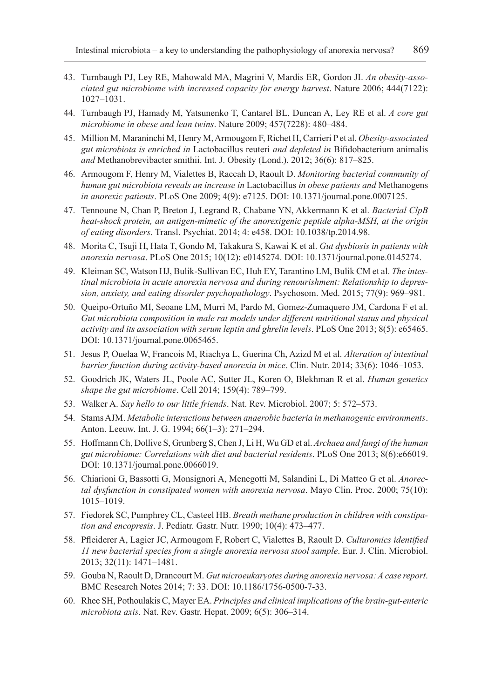- 43. Turnbaugh PJ, Ley RE, Mahowald MA, Magrini V, Mardis ER, Gordon JI. *An obesity-associated gut microbiome with increased capacity for energy harvest*. Nature 2006; 444(7122): 1027–1031.
- 44. Turnbaugh PJ, Hamady M, Yatsunenko T, Cantarel BL, Duncan A, Ley RE et al. *A core gut microbiome in obese and lean twins*. Nature 2009; 457(7228): 480–484.
- 45. Million M, Maraninchi M, Henry M, Armougom F, Richet H, Carrieri P et al. *Obesity-associated gut microbiota is enriched in* Lactobacillus reuteri *and depleted in* Bifidobacterium animalis *and* Methanobrevibacter smithii. Int. J. Obesity (Lond.). 2012; 36(6): 817–825.
- 46. Armougom F, Henry M, Vialettes B, Raccah D, Raoult D. *Monitoring bacterial community of human gut microbiota reveals an increase in* Lactobacillus *in obese patients and* Methanogens *in anorexic patients*. PLoS One 2009; 4(9): e7125. DOI: 10.1371/journal.pone.0007125.
- 47. Tennoune N, Chan P, Breton J, Legrand R, Chabane YN, Akkermann K et al. *Bacterial ClpB heat-shock protein, an antigen-mimetic of the anorexigenic peptide alpha-MSH, at the origin of eating disorders*. Transl. Psychiat. 2014; 4: e458. DOI: 10.1038/tp.2014.98.
- 48. Morita C, Tsuji H, Hata T, Gondo M, Takakura S, Kawai K et al. *Gut dysbiosis in patients with anorexia nervosa*. PLoS One 2015; 10(12): e0145274. DOI: 10.1371/journal.pone.0145274.
- 49. Kleiman SC, Watson HJ, Bulik-Sullivan EC, Huh EY, Tarantino LM, Bulik CM et al. *The intestinal microbiota in acute anorexia nervosa and during renourishment: Relationship to depression, anxiety, and eating disorder psychopathology*. Psychosom. Med. 2015; 77(9): 969–981.
- 50. Queipo-Ortuño MI, Seoane LM, Murri M, Pardo M, Gomez-Zumaquero JM, Cardona F et al. *Gut microbiota composition in male rat models under different nutritional status and physical activity and its association with serum leptin and ghrelin levels*. PLoS One 2013; 8(5): e65465. DOI: 10.1371/journal.pone.0065465.
- 51. Jesus P, Ouelaa W, Francois M, Riachya L, Guerina Ch, Azizd M et al. *Alteration of intestinal barrier function during activity-based anorexia in mice*. Clin. Nutr. 2014; 33(6): 1046–1053.
- 52. Goodrich JK, Waters JL, Poole AC, Sutter JL, Koren O, Blekhman R et al. *Human genetics shape the gut microbiome*. Cell 2014; 159(4): 789–799.
- 53. Walker A. *Say hello to our little friends*. Nat. Rev. Microbiol. 2007; 5: 572–573.
- 54. Stams AJM. *Metabolic interactions between anaerobic bacteria in methanogenic environments*. Anton. Leeuw. Int. J. G. 1994; 66(1–3): 271–294.
- 55. Hoffmann Ch, Dollive S, Grunberg S, Chen J, Li H, Wu GD et al. *Archaea and fungi of the human gut microbiome: Correlations with diet and bacterial residents*. PLoS One 2013; 8(6):e66019. DOI: 10.1371/journal.pone.0066019.
- 56. Chiarioni G, Bassotti G, Monsignori A, Menegotti M, Salandini L, Di Matteo G et al. *Anorectal dysfunction in constipated women with anorexia nervosa*. Mayo Clin. Proc. 2000; 75(10): 1015–1019.
- 57. Fiedorek SC, Pumphrey CL, Casteel HB. *Breath methane production in children with constipation and encopresis*. J. Pediatr. Gastr. Nutr. 1990; 10(4): 473–477.
- 58. Pfleiderer A, Lagier JC, Armougom F, Robert C, Vialettes B, Raoult D. *Culturomics identified 11 new bacterial species from a single anorexia nervosa stool sample*. Eur. J. Clin. Microbiol. 2013; 32(11): 1471–1481.
- 59. Gouba N, Raoult D, Drancourt M. *Gut microeukaryotes during anorexia nervosa: A case report*. BMC Research Notes 2014; 7: 33. DOI: 10.1186/1756-0500-7-33.
- 60. Rhee SH, Pothoulakis C, Mayer EA. *Principles and clinical implications of the brain-gut-enteric microbiota axis*. Nat. Rev. Gastr. Hepat. 2009; 6(5): 306–314.